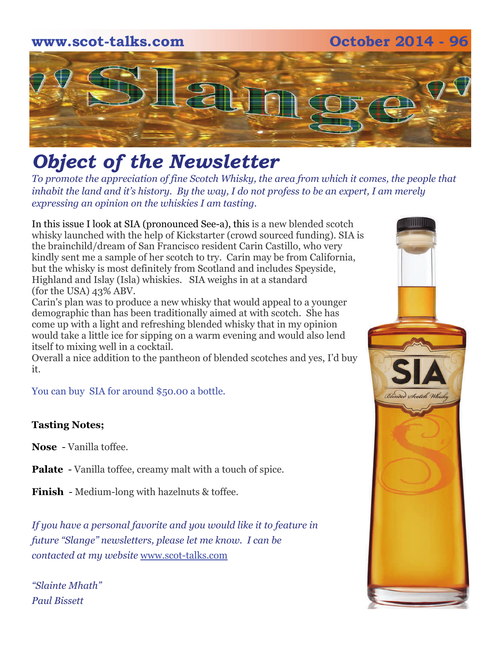

# *Object of the Newsletter*

*To promote the appreciation of fine Scotch Whisky, the area from which it comes, the people that inhabit the land and it's history. By the way, I do not profess to be an expert, I am merely expressing an opinion on the whiskies I am tasting.* 

In this issue I look at SIA (pronounced See-a), this is a new blended scotch whisky launched with the help of Kickstarter (crowd sourced funding). SIA is the brainchild/dream of San Francisco resident Carin Castillo, who very kindly sent me a sample of her scotch to try. Carin may be from California, but the whisky is most definitely from Scotland and includes Speyside, Highland and Islay (Isla) whiskies. SIA weighs in at a standard (for the USA) 43% ABV.

Carin's plan was to produce a new whisky that would appeal to a younger demographic than has been traditionally aimed at with scotch. She has come up with a light and refreshing blended whisky that in my opinion would take a little ice for sipping on a warm evening and would also lend itself to mixing well in a cocktail.

Overall a nice addition to the pantheon of blended scotches and yes, I'd buy it.

You can buy SIA for around \$50.00 a bottle.

### **Tasting Notes;**

**Nose** - Vanilla toffee.

**Palate** - Vanilla toffee, creamy malt with a touch of spice.

**Finish** - Medium-long with hazelnuts & toffee.

*If you have a personal favorite and you would like it to feature in future "Slange" newsletters, please let me know. I can be contacted at my website* [www.scot-talks.com](http://www.scot-talks.com/default.html)

*"Slainte Mhath" Paul Bissett*

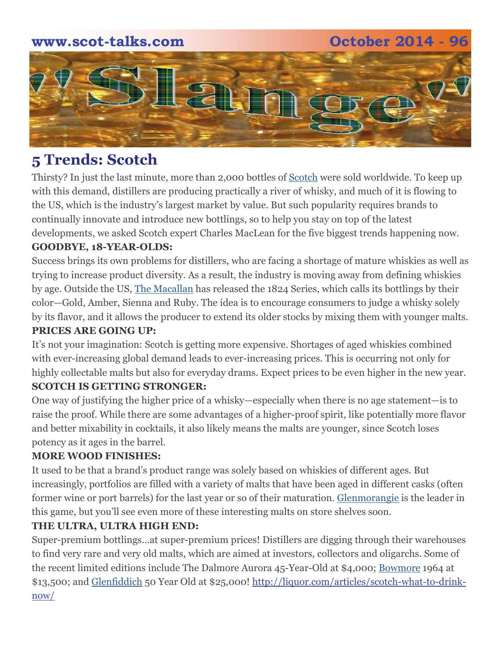### **www.scot-talks.com October 2014 - 96**



### **5 Trends: Scotch**

Thirsty? In just the last minute, more than 2,000 bottles of [Scotch](http://liquor.com/spirit/scotch/) were sold worldwide. To keep up with this demand, distillers are producing practically a river of whisky, and much of it is flowing to the US, which is the industry's largest market by value. But such popularity requires brands to continually innovate and introduce new bottlings, so to help you stay on top of the latest developments, we asked Scotch expert Charles MacLean for the five biggest trends happening now.

#### **GOODBYE, 18-YEAR-OLDS:**

Success brings its own problems for distillers, who are facing a shortage of mature whiskies as well as trying to increase product diversity. As a result, the industry is moving away from defining whiskies by age. Outside the US, [The Macallan](http://liquor.com/brands/the-macallan/) has released the 1824 Series, which calls its bottlings by their color—Gold, Amber, Sienna and Ruby. The idea is to encourage consumers to judge a whisky solely by its flavor, and it allows the producer to extend its older stocks by mixing them with younger malts. **PRICES ARE GOING UP:** 

It's not your imagination: Scotch is getting more expensive. Shortages of aged whiskies combined with ever-increasing global demand leads to ever-increasing prices. This is occurring not only for highly collectable malts but also for everyday drams. Expect prices to be even higher in the new year. **SCOTCH IS GETTING STRONGER:** 

### One way of justifying the higher price of a whisky—especially when there is no age statement—is to raise the proof. While there are some advantages of a higher-proof spirit, like potentially more flavor and better mixability in cocktails, it also likely means the malts are younger, since Scotch loses potency as it ages in the barrel.

### **MORE WOOD FINISHES:**

It used to be that a brand's product range was solely based on whiskies of different ages. But increasingly, portfolios are filled with a variety of malts that have been aged in different casks (often former wine or port barrels) for the last year or so of their maturation. [Glenmorangie](http://liquor.com/brands/glenmorangie/) is the leader in this game, but you'll see even more of these interesting malts on store shelves soon.

### **THE ULTRA, ULTRA HIGH END:**

Super-premium bottlings…at super-premium prices! Distillers are digging through their warehouses to find very rare and very old malts, which are aimed at investors, collectors and oligarchs. Some of the recent limited editions include The Dalmore Aurora 45-Year-Old at \$4,000; [Bowmore](http://liquor.com/brands/bowmore/) 1964 at \$13,500; and [Glenfiddich](http://liquor.com/brands/glenfiddich-single-malt-scotch-whisky/) 50 Year Old at \$25,000! [http://liquor.com/articles/scotch-what-to-drink](http://liquor.com/articles/scotch-what-to-drink-now/)[now/](http://liquor.com/articles/scotch-what-to-drink-now/)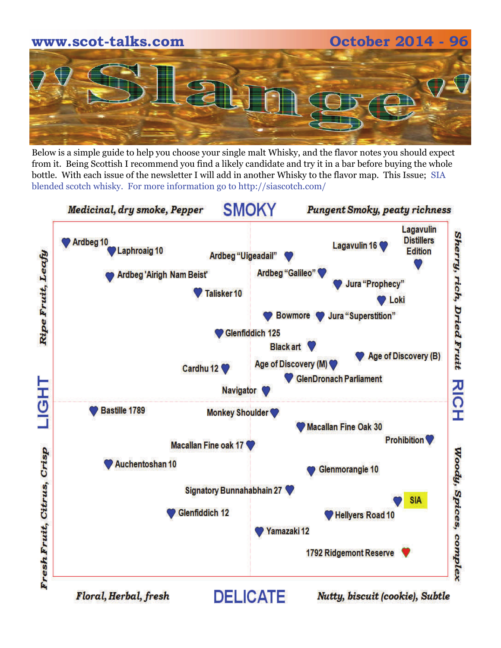

Below is a simple guide to help you choose your single malt Whisky, and the flavor notes you should expect from it. Being Scottish I recommend you find a likely candidate and try it in a bar before buying the whole bottle. With each issue of the newsletter I will add in another Whisky to the flavor map. This Issue; SIA blended scotch whisky. For more information go to http://siascotch.com/

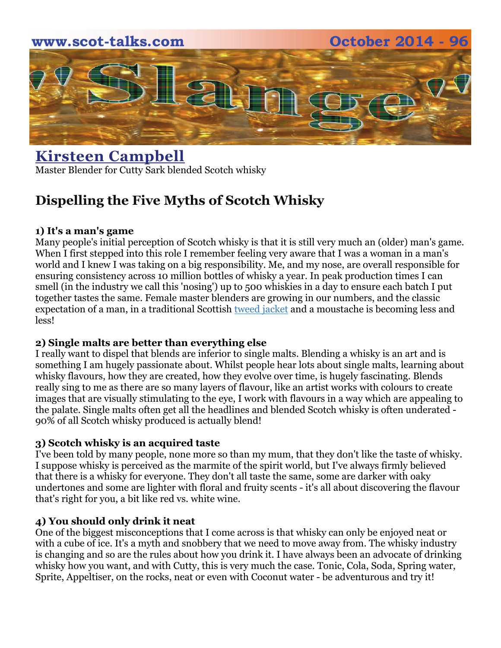

### **[Kirsteen Campbell](http://www.huffingtonpost.co.uk/kirsteen-campbell)** Master Blender for Cutty Sark blended Scotch whisky

### **Dispelling the Five Myths of Scotch Whisky**

#### **1) It's a man's game**

Many people's initial perception of Scotch whisky is that it is still very much an (older) man's game. When I first stepped into this role I remember feeling very aware that I was a woman in a man's world and I knew I was taking on a big responsibility. Me, and my nose, are overall responsible for ensuring consistency across 10 million bottles of whisky a year. In peak production times I can smell (in the industry we call this 'nosing') up to 500 whiskies in a day to ensure each batch I put together tastes the same. Female master blenders are growing in our numbers, and the classic expectation of a man, in a traditional Scottish [tweed jacket](http://www.huffingtonpost.co.uk/kirsteen-campbell/scotch-whisky-myths_b_3657671.html) and a moustache is becoming less and less!

#### **2) Single malts are better than everything else**

I really want to dispel that blends are inferior to single malts. Blending a whisky is an art and is something I am hugely passionate about. Whilst people hear lots about single malts, learning about whisky flavours, how they are created, how they evolve over time, is hugely fascinating. Blends really sing to me as there are so many layers of flavour, like an artist works with colours to create images that are visually stimulating to the eye, I work with flavours in a way which are appealing to the palate. Single malts often get all the headlines and blended Scotch whisky is often underated - 90% of all Scotch whisky produced is actually blend!

#### **3) Scotch whisky is an acquired taste**

I've been told by many people, none more so than my mum, that they don't like the taste of whisky. I suppose whisky is perceived as the marmite of the spirit world, but I've always firmly believed that there is a whisky for everyone. They don't all taste the same, some are darker with oaky undertones and some are lighter with floral and fruity scents - it's all about discovering the flavour that's right for you, a bit like red vs. white wine.

### **4) You should only drink it neat**

One of the biggest misconceptions that I come across is that whisky can only be enjoyed neat or with a cube of ice. It's a myth and snobbery that we need to move away from. The whisky industry is changing and so are the rules about how you drink it. I have always been an advocate of drinking whisky how you want, and with Cutty, this is very much the case. Tonic, Cola, Soda, Spring water, Sprite, Appeltiser, on the rocks, neat or even with Coconut water - be adventurous and try it!